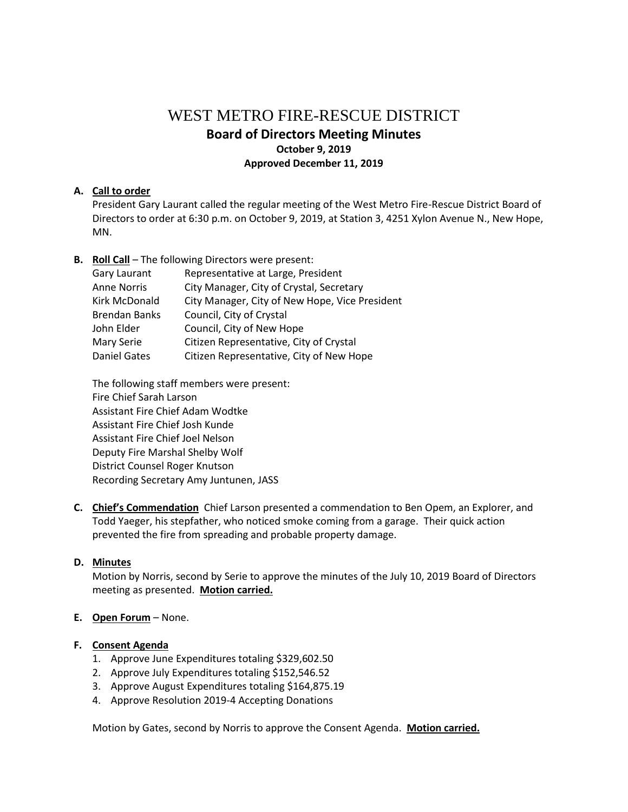# WEST METRO FIRE-RESCUE DISTRICT **Board of Directors Meeting Minutes October 9, 2019 Approved December 11, 2019**

### **A. Call to order**

President Gary Laurant called the regular meeting of the West Metro Fire-Rescue District Board of Directors to order at 6:30 p.m. on October 9, 2019, at Station 3, 4251 Xylon Avenue N., New Hope, MN.

**B. Roll Call** – The following Directors were present:

| Gary Laurant         | Representative at Large, President             |
|----------------------|------------------------------------------------|
| <b>Anne Norris</b>   | City Manager, City of Crystal, Secretary       |
| <b>Kirk McDonald</b> | City Manager, City of New Hope, Vice President |
| <b>Brendan Banks</b> | Council, City of Crystal                       |
| John Elder           | Council, City of New Hope                      |
| Mary Serie           | Citizen Representative, City of Crystal        |
| <b>Daniel Gates</b>  | Citizen Representative, City of New Hope       |

The following staff members were present: Fire Chief Sarah Larson Assistant Fire Chief Adam Wodtke Assistant Fire Chief Josh Kunde Assistant Fire Chief Joel Nelson Deputy Fire Marshal Shelby Wolf District Counsel Roger Knutson Recording Secretary Amy Juntunen, JASS

**C. Chief's Commendation** Chief Larson presented a commendation to Ben Opem, an Explorer, and Todd Yaeger, his stepfather, who noticed smoke coming from a garage. Their quick action prevented the fire from spreading and probable property damage.

### **D. Minutes**

Motion by Norris, second by Serie to approve the minutes of the July 10, 2019 Board of Directors meeting as presented. **Motion carried.**

### **E. Open Forum** – None.

### **F. Consent Agenda**

- 1. Approve June Expenditures totaling \$329,602.50
- 2. Approve July Expenditures totaling \$152,546.52
- 3. Approve August Expenditures totaling \$164,875.19
- 4. Approve Resolution 2019-4 Accepting Donations

Motion by Gates, second by Norris to approve the Consent Agenda. **Motion carried.**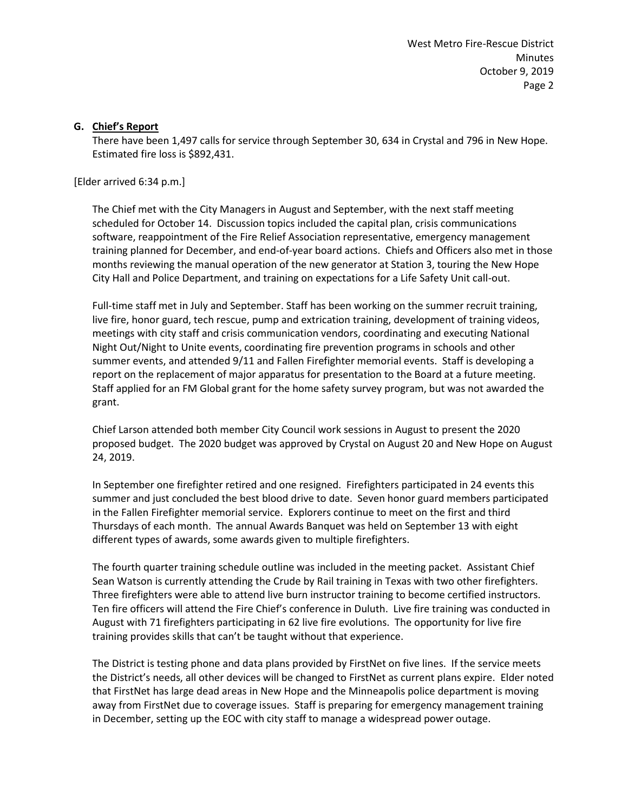West Metro Fire-Rescue District Minutes October 9, 2019 Page 2

#### **G. Chief's Report**

There have been 1,497 calls for service through September 30, 634 in Crystal and 796 in New Hope. Estimated fire loss is \$892,431.

[Elder arrived 6:34 p.m.]

The Chief met with the City Managers in August and September, with the next staff meeting scheduled for October 14. Discussion topics included the capital plan, crisis communications software, reappointment of the Fire Relief Association representative, emergency management training planned for December, and end-of-year board actions. Chiefs and Officers also met in those months reviewing the manual operation of the new generator at Station 3, touring the New Hope City Hall and Police Department, and training on expectations for a Life Safety Unit call-out.

Full-time staff met in July and September. Staff has been working on the summer recruit training, live fire, honor guard, tech rescue, pump and extrication training, development of training videos, meetings with city staff and crisis communication vendors, coordinating and executing National Night Out/Night to Unite events, coordinating fire prevention programs in schools and other summer events, and attended 9/11 and Fallen Firefighter memorial events. Staff is developing a report on the replacement of major apparatus for presentation to the Board at a future meeting. Staff applied for an FM Global grant for the home safety survey program, but was not awarded the grant.

Chief Larson attended both member City Council work sessions in August to present the 2020 proposed budget. The 2020 budget was approved by Crystal on August 20 and New Hope on August 24, 2019.

In September one firefighter retired and one resigned. Firefighters participated in 24 events this summer and just concluded the best blood drive to date. Seven honor guard members participated in the Fallen Firefighter memorial service. Explorers continue to meet on the first and third Thursdays of each month. The annual Awards Banquet was held on September 13 with eight different types of awards, some awards given to multiple firefighters.

The fourth quarter training schedule outline was included in the meeting packet. Assistant Chief Sean Watson is currently attending the Crude by Rail training in Texas with two other firefighters. Three firefighters were able to attend live burn instructor training to become certified instructors. Ten fire officers will attend the Fire Chief's conference in Duluth. Live fire training was conducted in August with 71 firefighters participating in 62 live fire evolutions. The opportunity for live fire training provides skills that can't be taught without that experience.

The District is testing phone and data plans provided by FirstNet on five lines. If the service meets the District's needs, all other devices will be changed to FirstNet as current plans expire. Elder noted that FirstNet has large dead areas in New Hope and the Minneapolis police department is moving away from FirstNet due to coverage issues. Staff is preparing for emergency management training in December, setting up the EOC with city staff to manage a widespread power outage.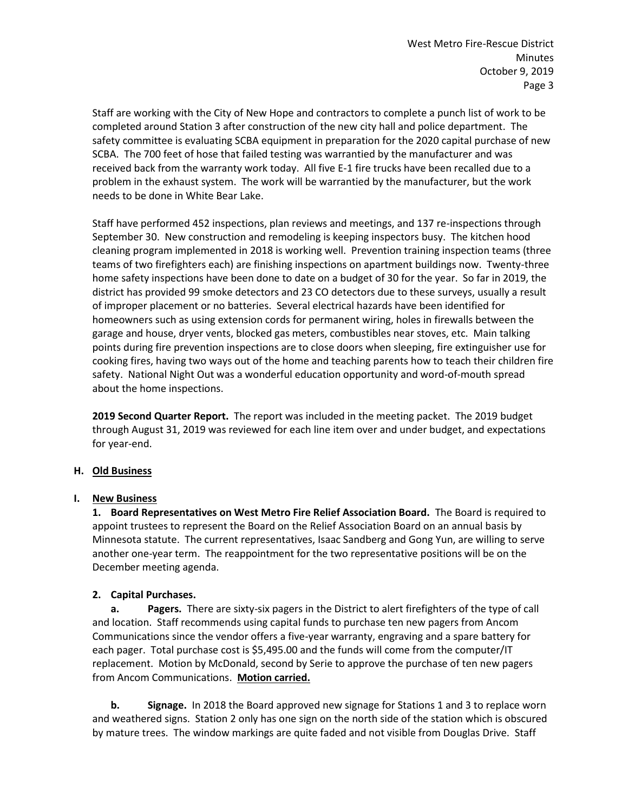Staff are working with the City of New Hope and contractors to complete a punch list of work to be completed around Station 3 after construction of the new city hall and police department. The safety committee is evaluating SCBA equipment in preparation for the 2020 capital purchase of new SCBA. The 700 feet of hose that failed testing was warrantied by the manufacturer and was received back from the warranty work today. All five E-1 fire trucks have been recalled due to a problem in the exhaust system. The work will be warrantied by the manufacturer, but the work needs to be done in White Bear Lake.

Staff have performed 452 inspections, plan reviews and meetings, and 137 re-inspections through September 30. New construction and remodeling is keeping inspectors busy. The kitchen hood cleaning program implemented in 2018 is working well. Prevention training inspection teams (three teams of two firefighters each) are finishing inspections on apartment buildings now. Twenty-three home safety inspections have been done to date on a budget of 30 for the year. So far in 2019, the district has provided 99 smoke detectors and 23 CO detectors due to these surveys, usually a result of improper placement or no batteries. Several electrical hazards have been identified for homeowners such as using extension cords for permanent wiring, holes in firewalls between the garage and house, dryer vents, blocked gas meters, combustibles near stoves, etc. Main talking points during fire prevention inspections are to close doors when sleeping, fire extinguisher use for cooking fires, having two ways out of the home and teaching parents how to teach their children fire safety. National Night Out was a wonderful education opportunity and word-of-mouth spread about the home inspections.

**2019 Second Quarter Report.** The report was included in the meeting packet. The 2019 budget through August 31, 2019 was reviewed for each line item over and under budget, and expectations for year-end.

# **H. Old Business**

### **I. New Business**

**1. Board Representatives on West Metro Fire Relief Association Board.** The Board is required to appoint trustees to represent the Board on the Relief Association Board on an annual basis by Minnesota statute. The current representatives, Isaac Sandberg and Gong Yun, are willing to serve another one-year term. The reappointment for the two representative positions will be on the December meeting agenda.

# **2. Capital Purchases.**

**a. Pagers.** There are sixty-six pagers in the District to alert firefighters of the type of call and location. Staff recommends using capital funds to purchase ten new pagers from Ancom Communications since the vendor offers a five-year warranty, engraving and a spare battery for each pager. Total purchase cost is \$5,495.00 and the funds will come from the computer/IT replacement. Motion by McDonald, second by Serie to approve the purchase of ten new pagers from Ancom Communications. **Motion carried.**

**b. Signage.** In 2018 the Board approved new signage for Stations 1 and 3 to replace worn and weathered signs. Station 2 only has one sign on the north side of the station which is obscured by mature trees. The window markings are quite faded and not visible from Douglas Drive. Staff